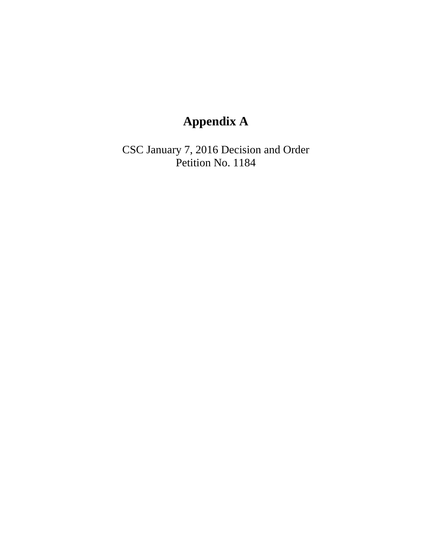## **Appendix A**

CSC January 7, 2016 Decision and Order Petition No. 1184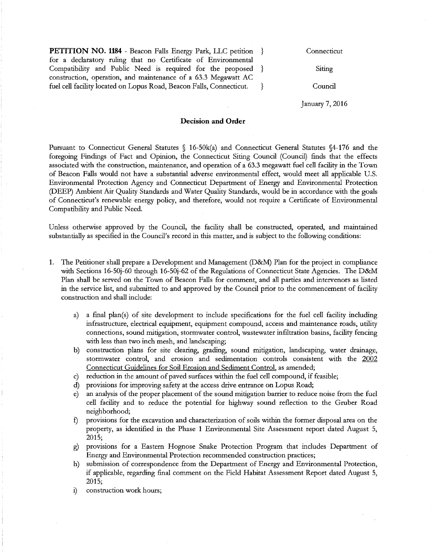| PETITION NO. 1184 - Beacon Falls Energy Park, LLC petition           |  |
|----------------------------------------------------------------------|--|
| for a declaratory ruling that no Certificate of Environmental        |  |
| Compatibility and Public Need is required for the proposed }         |  |
| construction, operation, and maintenance of a 63.3 Megawatt AC       |  |
| fuel cell facility located on Lopus Road, Beacon Falls, Connecticut. |  |

**Connecticut** 

Siting

Council

January 7, 2016

## **Decision and Order**

Pursuant to Connecticut General Statutes § 16-50k(a) and Connecticut General Statutes §4-176 and the foregoing Findings of Fact and Opinion, the Connecticut Siting Council (Council) finds that the effects associated with the construction, maintenance, and operation of a 63.3 megawatt fuel cell facility in the Town of Beacon Falls would not have a substantial adverse environmental effect, would meet all applicable U.S. Environmental Protection Agency and Connecticut Department of Energy and Environmental Protection (DEEP) Ambient Air Quality Standards and Water Quality Standards, would be in accordance with the goals of Connecticut's renewable energy policy, and therefore, would not require a Certificate of Environmental Compatibility and Public Need.

Unless otherwise approved by the Council, the facility shall be constructed, operated, and maintained substantially as specified in the Council's record in this matter, and is subject to the following conditions:

- 1. The Petitioner shall prepare a Development and Management (D&:M) Plan for the project in compliance with Sections 16-50j-60 through 16-50j-62 of the Regulations of Connecticut State Agencies. The D&M Plan shall be served on the Town of Beacon Falls for comment, and all parties and intervenors as listed in the service list, and submitted to and approved by the Council prior to the commencement of facility construction and shall include:
	- a) a final plan(s) of site development to include specifications for the fuel cell facility including infrastructure, electrical equipment, equipment compound, access and maintenance roads, utility connections, sound mitigation, stormwater control, wastewater infiltration basins, facility fencing with less than two inch mesh, and landscaping;
	- b) construction plans for site clearing, grading, sound mitigation, landscaping, water drainage, stormwater control, and erosion and sedimentation controls consistent with the 2002 Connecticut Guidelines for Soil Erosion and Sediment Control, as amended;
	- c) reduction in the amount of paved surfaces within the fuel cell compound, if feasible;
	- d) provisions for improving safety at the access drive entrance on Lopus Road;
	- e) an analysis of the proper placement of the sound mitigation barrier to reduce noise from the fuel cell facility and to reduce the potential for highway sound reflection to the Gruber Road neighborhood;
	- f) provisions for the excavation and characterization of soils within the former disposal area on the property, as identified in the Phase 1 Environmental Site Assessment report dated August 5, 2015;
	- *i)* provisions for a Eastern Hognose Snake Protection Program that includes Department of Energy and Environmental Protection recommended construction practices;
	- h) submission of correspondence from the Department of Energy and Environmental Protection, if applicable, regarding final comment on the Field Habitat Assessment Report dated August 5, 2015;
	- i) construction work hours;